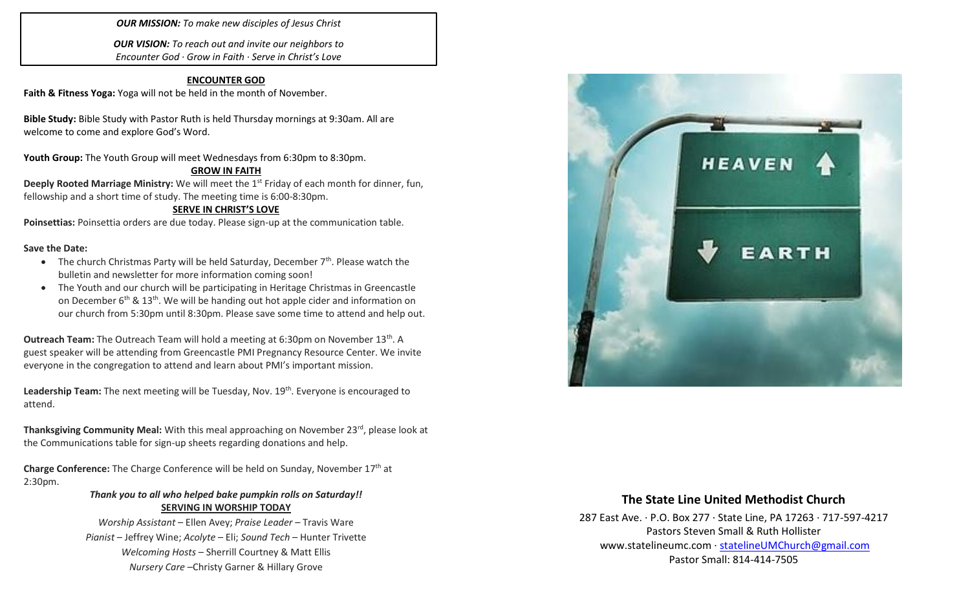#### *OUR MISSION: To make new disciples of Jesus Christ*

*OUR VISION: To reach out and invite our neighbors to Encounter God · Grow in Faith · Serve in Christ's Love*

#### **ENCOUNTER GOD**

**Faith & Fitness Yoga:** Yoga will not be held in the month of November.

**Bible Study:** Bible Study with Pastor Ruth is held Thursday mornings at 9:30am. All are welcome to come and explore God's Word.

Youth Group: The Youth Group will meet Wednesdays from 6:30pm to 8:30pm.

#### **GROW IN FAITH**

**Deeply Rooted Marriage Ministry:** We will meet the 1<sup>st</sup> Friday of each month for dinner, fun, fellowship and a short time of study. The meeting time is 6:00-8:30pm.

### **SERVE IN CHRIST'S LOVE**

**Poinsettias:** Poinsettia orders are due today. Please sign-up at the communication table.

#### **Save the Date:**

- The church Christmas Party will be held Saturday, December  $7<sup>th</sup>$ . Please watch the bulletin and newsletter for more information coming soon!
- The Youth and our church will be participating in Heritage Christmas in Greencastle on December  $6<sup>th</sup>$  & 13<sup>th</sup>. We will be handing out hot apple cider and information on our church from 5:30pm until 8:30pm. Please save some time to attend and help out.

**Outreach Team:** The Outreach Team will hold a meeting at 6:30pm on November 13<sup>th</sup>. A guest speaker will be attending from Greencastle PMI Pregnancy Resource Center. We invite everyone in the congregation to attend and learn about PMI's important mission.

Leadership Team: The next meeting will be Tuesday, Nov. 19<sup>th</sup>. Everyone is encouraged to attend.

**Thanksgiving Community Meal:** With this meal approaching on November 23<sup>rd</sup>, please look at the Communications table for sign-up sheets regarding donations and help.

**Charge Conference:** The Charge Conference will be held on Sunday, November 17th at 2:30pm.

### *Thank you to all who helped bake pumpkin rolls on Saturday!!* **SERVING IN WORSHIP TODAY**

*Worship Assistant* – Ellen Avey; *Praise Leader* – Travis Ware *Pianist* – Jeffrey Wine; *Acolyte* – Eli; *Sound Tech* – Hunter Trivette *Welcoming Hosts* – Sherrill Courtney & Matt Ellis *Nursery Care* –Christy Garner & Hillary Grove



## **The State Line United Methodist Church**

287 East Ave. · P.O. Box 277 · State Line, PA 17263 · 717-597-4217 Pastors Steven Small & Ruth Hollister [www.statelineumc.com](http://www.statelineumc.com/) · [statelineUMChurch@gmail.com](mailto:statelineUMChurch@gmail.com) Pastor Small: 814-414-7505